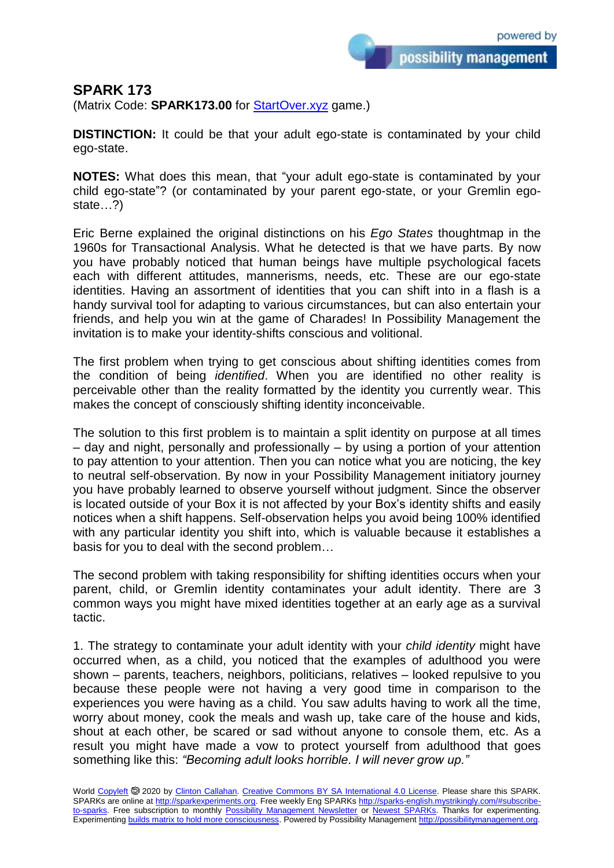possibility management

## **SPARK 173**

(Matrix Code: **SPARK173.00** for **StartOver.xyz** game.)

**DISTINCTION:** It could be that your adult ego-state is contaminated by your child ego-state.

**NOTES:** What does this mean, that "your adult ego-state is contaminated by your child ego-state"? (or contaminated by your parent ego-state, or your Gremlin egostate…?)

Eric Berne explained the original distinctions on his *Ego States* thoughtmap in the 1960s for Transactional Analysis. What he detected is that we have parts. By now you have probably noticed that human beings have multiple psychological facets each with different attitudes, mannerisms, needs, etc. These are our ego-state identities. Having an assortment of identities that you can shift into in a flash is a handy survival tool for adapting to various circumstances, but can also entertain your friends, and help you win at the game of Charades! In Possibility Management the invitation is to make your identity-shifts conscious and volitional.

The first problem when trying to get conscious about shifting identities comes from the condition of being *identified*. When you are identified no other reality is perceivable other than the reality formatted by the identity you currently wear. This makes the concept of consciously shifting identity inconceivable.

The solution to this first problem is to maintain a split identity on purpose at all times – day and night, personally and professionally – by using a portion of your attention to pay attention to your attention. Then you can notice what you are noticing, the key to neutral self-observation. By now in your Possibility Management initiatory journey you have probably learned to observe yourself without judgment. Since the observer is located outside of your Box it is not affected by your Box's identity shifts and easily notices when a shift happens. Self-observation helps you avoid being 100% identified with any particular identity you shift into, which is valuable because it establishes a basis for you to deal with the second problem…

The second problem with taking responsibility for shifting identities occurs when your parent, child, or Gremlin identity contaminates your adult identity. There are 3 common ways you might have mixed identities together at an early age as a survival tactic.

1. The strategy to contaminate your adult identity with your *child identity* might have occurred when, as a child, you noticed that the examples of adulthood you were shown – parents, teachers, neighbors, politicians, relatives – looked repulsive to you because these people were not having a very good time in comparison to the experiences you were having as a child. You saw adults having to work all the time, worry about money, cook the meals and wash up, take care of the house and kids, shout at each other, be scared or sad without anyone to console them, etc. As a result you might have made a vow to protect yourself from adulthood that goes something like this: *"Becoming adult looks horrible. I will never grow up."*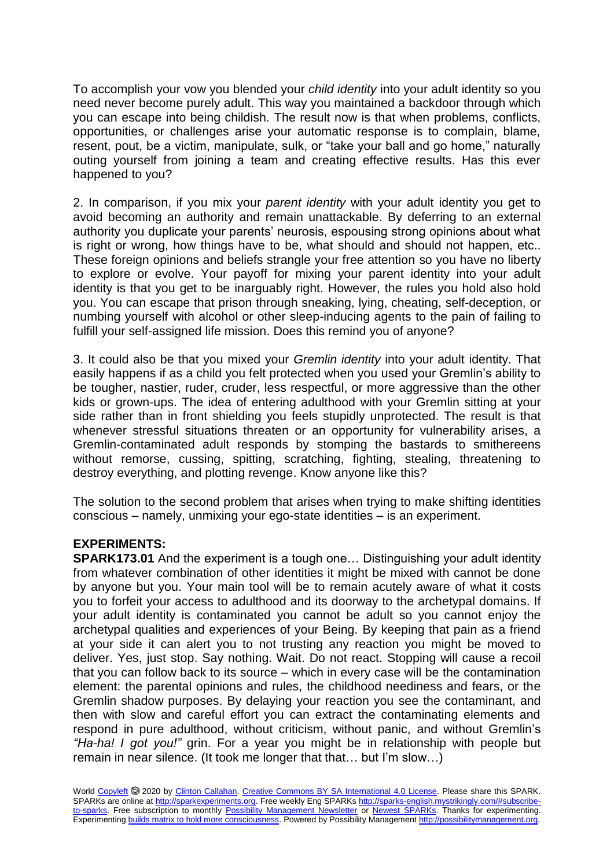To accomplish your vow you blended your *child identity* into your adult identity so you need never become purely adult. This way you maintained a backdoor through which you can escape into being childish. The result now is that when problems, conflicts, opportunities, or challenges arise your automatic response is to complain, blame, resent, pout, be a victim, manipulate, sulk, or "take your ball and go home," naturally outing yourself from joining a team and creating effective results. Has this ever happened to you?

2. In comparison, if you mix your *parent identity* with your adult identity you get to avoid becoming an authority and remain unattackable. By deferring to an external authority you duplicate your parents' neurosis, espousing strong opinions about what is right or wrong, how things have to be, what should and should not happen, etc.. These foreign opinions and beliefs strangle your free attention so you have no liberty to explore or evolve. Your payoff for mixing your parent identity into your adult identity is that you get to be inarguably right. However, the rules you hold also hold you. You can escape that prison through sneaking, lying, cheating, self-deception, or numbing yourself with alcohol or other sleep-inducing agents to the pain of failing to fulfill your self-assigned life mission. Does this remind you of anyone?

3. It could also be that you mixed your *Gremlin identity* into your adult identity. That easily happens if as a child you felt protected when you used your Gremlin's ability to be tougher, nastier, ruder, cruder, less respectful, or more aggressive than the other kids or grown-ups. The idea of entering adulthood with your Gremlin sitting at your side rather than in front shielding you feels stupidly unprotected. The result is that whenever stressful situations threaten or an opportunity for vulnerability arises, a Gremlin-contaminated adult responds by stomping the bastards to smithereens without remorse, cussing, spitting, scratching, fighting, stealing, threatening to destroy everything, and plotting revenge. Know anyone like this?

The solution to the second problem that arises when trying to make shifting identities conscious – namely, unmixing your ego-state identities – is an experiment.

## **EXPERIMENTS:**

**SPARK173.01** And the experiment is a tough one… Distinguishing your adult identity from whatever combination of other identities it might be mixed with cannot be done by anyone but you. Your main tool will be to remain acutely aware of what it costs you to forfeit your access to adulthood and its doorway to the archetypal domains. If your adult identity is contaminated you cannot be adult so you cannot enjoy the archetypal qualities and experiences of your Being. By keeping that pain as a friend at your side it can alert you to not trusting any reaction you might be moved to deliver. Yes, just stop. Say nothing. Wait. Do not react. Stopping will cause a recoil that you can follow back to its source – which in every case will be the contamination element: the parental opinions and rules, the childhood neediness and fears, or the Gremlin shadow purposes. By delaying your reaction you see the contaminant, and then with slow and careful effort you can extract the contaminating elements and respond in pure adulthood, without criticism, without panic, and without Gremlin's *"Ha-ha! I got you!"* grin. For a year you might be in relationship with people but remain in near silence. (It took me longer that that… but I'm slow…)